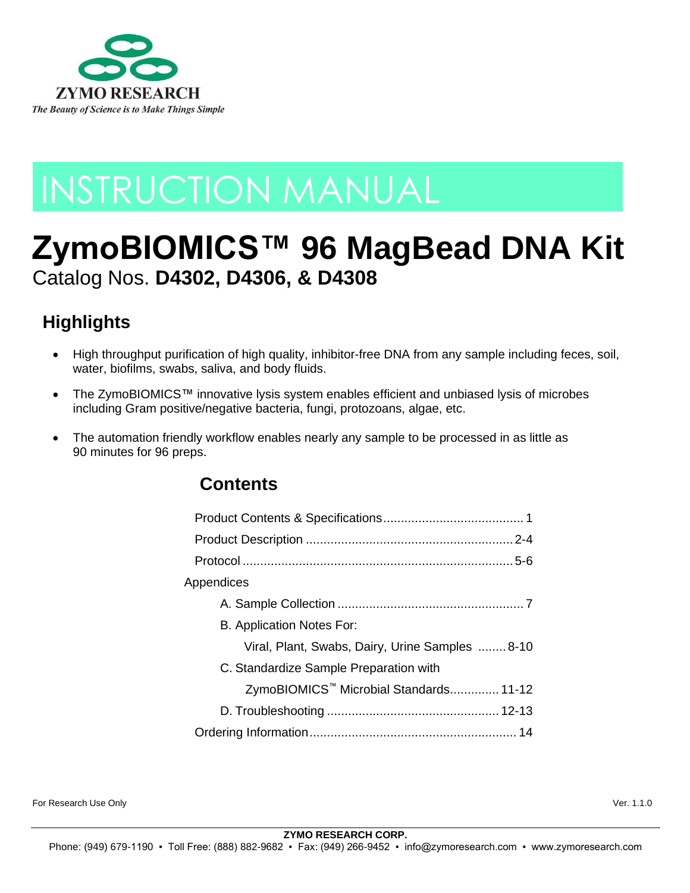

# INSTRUCTION MANUAL

## **ZymoBIOMICS™ 96 MagBead DNA Kit** Catalog Nos. **D4302, D4306, & D4308**

## **Highlights**

- High throughput purification of high quality, inhibitor-free DNA from any sample including feces, soil, water, biofilms, swabs, saliva, and body fluids.
- The ZymoBIOMICS™ innovative lysis system enables efficient and unbiased lysis of microbes including Gram positive/negative bacteria, fungi, protozoans, algae, etc.
- The automation friendly workflow enables nearly any sample to be processed in as little as 90 minutes for 96 preps.

### **Contents**

| Appendices                                         |
|----------------------------------------------------|
|                                                    |
| B. Application Notes For:                          |
| Viral, Plant, Swabs, Dairy, Urine Samples  8-10    |
| C. Standardize Sample Preparation with             |
| ZymoBIOMICS <sup>™</sup> Microbial Standards 11-12 |
|                                                    |
|                                                    |

For Research Use Only Ver. 1.1.0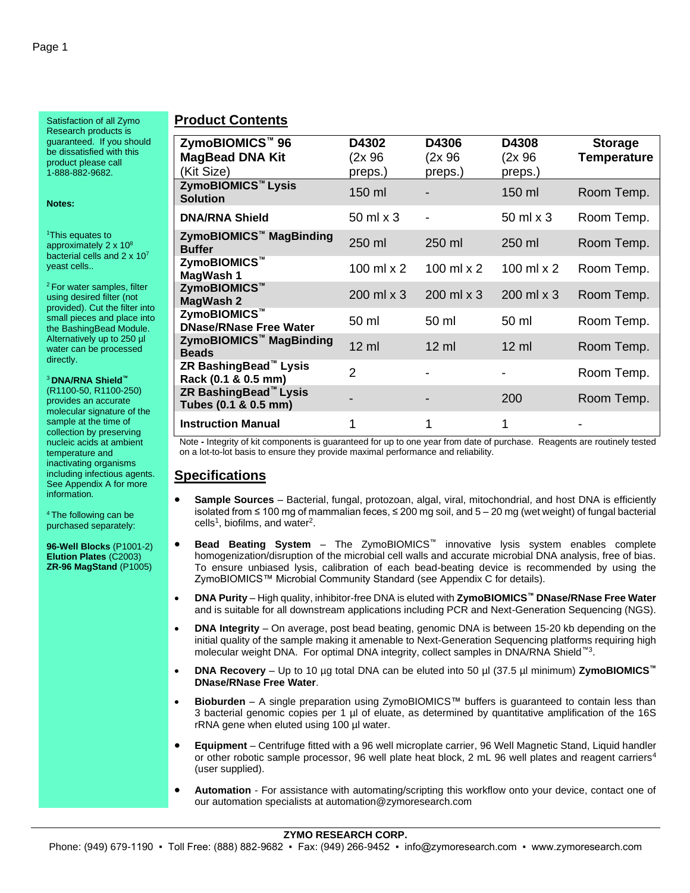Satisfaction of all Zymo Research products is guaranteed. If you should be dissatisfied with this product please call 1-888-882-9682.

**Notes:**

<sup>1</sup>This equates to approximately 2 x 10<sup>8</sup> bacterial cells and 2 x 10<sup>7</sup> yeast cells..

<sup>2</sup> For water samples, filter using desired filter (not provided). Cut the filter into small pieces and place into the BashingBead Module. Alternatively up to 250 µl water can be processed directly.

<sup>3</sup> **DNA/RNA Shield™**

(R1100-50, R1100-250) provides an accurate molecular signature of the sample at the time of collection by preserving nucleic acids at ambient temperature and inactivating organisms including infectious agents. See Appendix A for more information.

<sup>4</sup>The following can be purchased separately:

**96-Well Blocks** (P1001-2) **Elution Plates** (C2003) **ZR-96 MagStand** (P1005)

#### **Product Contents**

| ZymoBIOMICS™ 96<br><b>MagBead DNA Kit</b><br>(Kit Size)   | D4302<br>(2x 96<br>preps.) | D4306<br>(2x96)<br>preps.) | D4308<br>$(2x)$ 96<br>preps.) | <b>Storage</b><br><b>Temperature</b> |
|-----------------------------------------------------------|----------------------------|----------------------------|-------------------------------|--------------------------------------|
| ZymoBIOMICS™ Lysis<br><b>Solution</b>                     | 150 ml                     |                            | $150$ ml                      | Room Temp.                           |
| <b>DNA/RNA Shield</b>                                     | $50 \text{ ml} \times 3$   |                            | 50 ml x 3                     | Room Temp.                           |
| ZymoBIOMICS <sup>™</sup> MagBinding<br><b>Buffer</b>      | 250 ml                     | $250$ ml                   | $250$ ml                      | Room Temp.                           |
| ZymoBIOMICS™<br>MagWash 1                                 | 100 ml $\times$ 2          | 100 ml $\times$ 2          | 100 ml $\times$ 2             | Room Temp.                           |
| ZymoBIOMICS™<br>MagWash 2                                 | 200 ml x 3                 | 200 ml x 3                 | 200 ml x 3                    | Room Temp.                           |
| ZymoBIOMICS™<br><b>DNase/RNase Free Water</b>             | 50 ml                      | 50 ml                      | 50 ml                         | Room Temp.                           |
| ZymoBIOMICS <sup>™</sup> MagBinding<br><b>Beads</b>       | $12 \text{ ml}$            | $12 \text{ ml}$            | $12 \text{ ml}$               | Room Temp.                           |
| ZR BashingBead™ Lysis<br>Rack (0.1 & 0.5 mm)              | $\mathfrak{p}$             |                            |                               | Room Temp.                           |
| ZR BashingBead <sup>™</sup> Lysis<br>Tubes (0.1 & 0.5 mm) |                            |                            | 200                           | Room Temp.                           |
| <b>Instruction Manual</b>                                 | 1                          | 1                          |                               |                                      |

Note **-** Integrity of kit components is guaranteed for up to one year from date of purchase. Reagents are routinely tested on a lot-to-lot basis to ensure they provide maximal performance and reliability.

#### **Specifications**

- **Sample Sources** Bacterial, fungal, protozoan, algal, viral, mitochondrial, and host DNA is efficiently isolated from ≤ 100 mg of mammalian feces, ≤ 200 mg soil, and 5 – 20 mg (wet weight) of fungal bacterial  $cells<sup>1</sup>$ , biofilms, and water<sup>2</sup>.
- **Bead Beating System**  The ZymoBIOMICS™ innovative lysis system enables complete homogenization/disruption of the microbial cell walls and accurate microbial DNA analysis, free of bias. To ensure unbiased lysis, calibration of each bead-beating device is recommended by using the ZymoBIOMICS™ Microbial Community Standard (see Appendix C for details).
- **DNA Purity**  High quality, inhibitor-free DNA is eluted with **ZymoBIOMICS™ DNase/RNase Free Water** and is suitable for all downstream applications including PCR and Next-Generation Sequencing (NGS).
- **DNA Integrity** On average, post bead beating, genomic DNA is between 15-20 kb depending on the initial quality of the sample making it amenable to Next-Generation Sequencing platforms requiring high molecular weight DNA. For optimal DNA integrity, collect samples in DNA/RNA Shield<sup>™3</sup>.
- **DNA Recovery** Up to 10 µg total DNA can be eluted into 50 µl (37.5 µl minimum) **ZymoBIOMICS™ DNase/RNase Free Water**.
- **Bioburden** A single preparation using ZymoBIOMICS™ buffers is guaranteed to contain less than 3 bacterial genomic copies per 1 µl of eluate, as determined by quantitative amplification of the 16S rRNA gene when eluted using 100 µl water.
- **Equipment** Centrifuge fitted with a 96 well microplate carrier, 96 Well Magnetic Stand, Liquid handler or other robotic sample processor, 96 well plate heat block, 2 mL 96 well plates and reagent carriers<sup>4</sup> (user supplied).
- **Automation**  For assistance with automating/scripting this workflow onto your device, contact one of our automation specialists at automation@zymoresearch.com

### **ZYMO RESEARCH CORP.**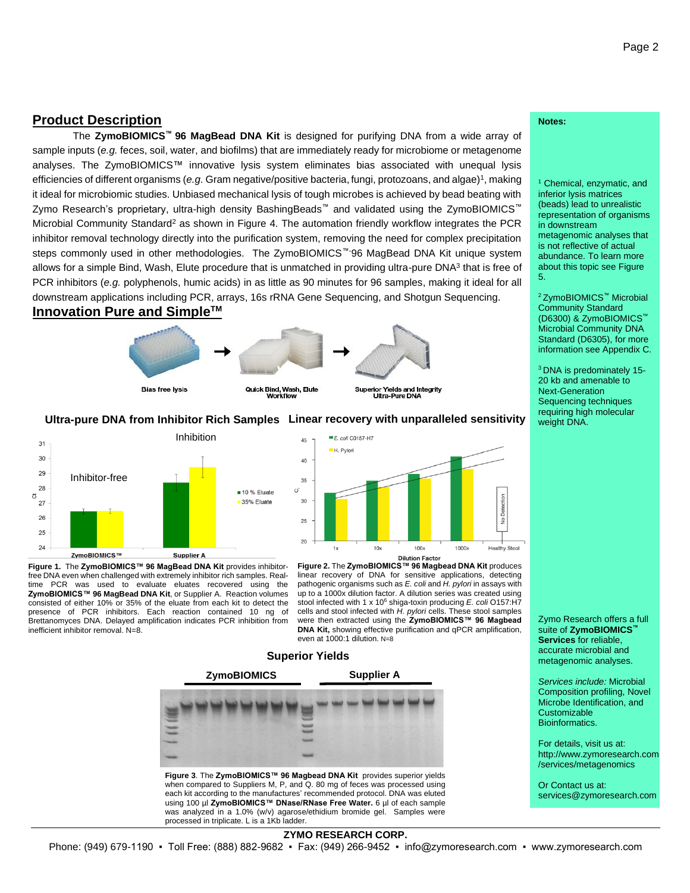#### **Product Description**

The **ZymoBIOMICS™ 96 MagBead DNA Kit** is designed for purifying DNA from a wide array of sample inputs (*e.g.* feces, soil, water, and biofilms) that are immediately ready for microbiome or metagenome analyses. The ZymoBIOMICS™ innovative lysis system eliminates bias associated with unequal lysis efficiencies of different organisms (e.g. Gram negative/positive bacteria, fungi, protozoans, and algae)<sup>1</sup>, making it ideal for microbiomic studies. Unbiased mechanical lysis of tough microbes is achieved by bead beating with Zymo Research's proprietary, ultra-high density BashingBeads™ and validated using the ZymoBIOMICS™ Microbial Community Standard<sup>2</sup> as shown in Figure 4. The automation friendly workflow integrates the PCR inhibitor removal technology directly into the purification system, removing the need for complex precipitation steps commonly used in other methodologies. The ZymoBIOMICS<sup>™-96</sup> MagBead DNA Kit unique system allows for a simple Bind, Wash, Elute procedure that is unmatched in providing ultra-pure DNA<sup>3</sup> that is free of PCR inhibitors (*e.g.* polyphenols, humic acids) in as little as 90 minutes for 96 samples, making it ideal for all downstream applications including PCR, arrays, 16s rRNA Gene Sequencing, and Shotgun Sequencing.





#### **Ultra-pure DNA from Inhibitor Rich Samples Linear recovery with unparalleled sensitivity**



**Figure 1.** The **ZymoBIOMICS™ 96 MagBead DNA Kit** provides inhibitorfree DNA even when challenged with extremely inhibitor rich samples. Realtime PCR was used to evaluate eluates recovered using the **ZymoBIOMICS™ 96 MagBead DNA Kit**, or Supplier A. Reaction volumes consisted of either 10% or 35% of the eluate from each kit to detect the presence of PCR inhibitors. Each reaction contained 10 ng of Brettanomyces DNA. Delayed amplification indicates PCR inhibition from inefficient inhibitor removal. N=8.



**Figure 2.** The **ZymoBIOMICS™ 96 Magbead DNA Kit** produces linear recovery of DNA for sensitive applications, detecting pathogenic organisms such as *E. coli* and *H. pylori* in assays with up to a 1000x dilution factor. A dilution series was created using stool infected with 1 x 10<sup>6</sup> shiga-toxin producing *E. coli* O157:H7 cells and stool infected with *H. pylori* cells. These stool samples were then extracted using the **ZymoBIOMICS™ 96 Magbead DNA Kit,** showing effective purification and qPCR amplification, even at 1000:1 dilution. N=8

#### **Superior Yields**



when compared to Suppliers M, P, and Q. 80 mg of feces was processed using each kit according to the manufactures' recommended protocol. DNA was eluted using 100 µl ZymoBIOMICS™ DNase/RNase Free Water. 6 µl of each sample was analyzed in a 1.0% (w/v) agarose/ethidium bromide gel. Samples were processed in triplicate. L is a 1Kb ladder.

#### **Notes:**

<sup>1</sup> Chemical, enzymatic, and inferior lysis matrices (beads) lead to unrealistic representation of organisms in downstream metagenomic analyses that is not reflective of actual abundance. To learn more about this topic see Figure 5.

<sup>2</sup>ZymoBIOMICS™ Microbial Community Standard (D6300) & ZymoBIOMICS™ Microbial Community DNA Standard (D6305), for more information see Appendix C.

<sup>3</sup>DNA is predominately 15- 20 kb and amenable to Next-Generation Sequencing techniques requiring high molecular weight DNA.

Zymo Research offers a full suite of **ZymoBIOMICS™ Services** for reliable, accurate microbial and metagenomic analyses.

*Services include:* Microbial Composition profiling, Novel Microbe Identification, and Customizable Bioinformatics.

For details, visit us at: http://www.zymoresearch.com /services/metagenomics

Or Contact us at: services@zymoresearch.com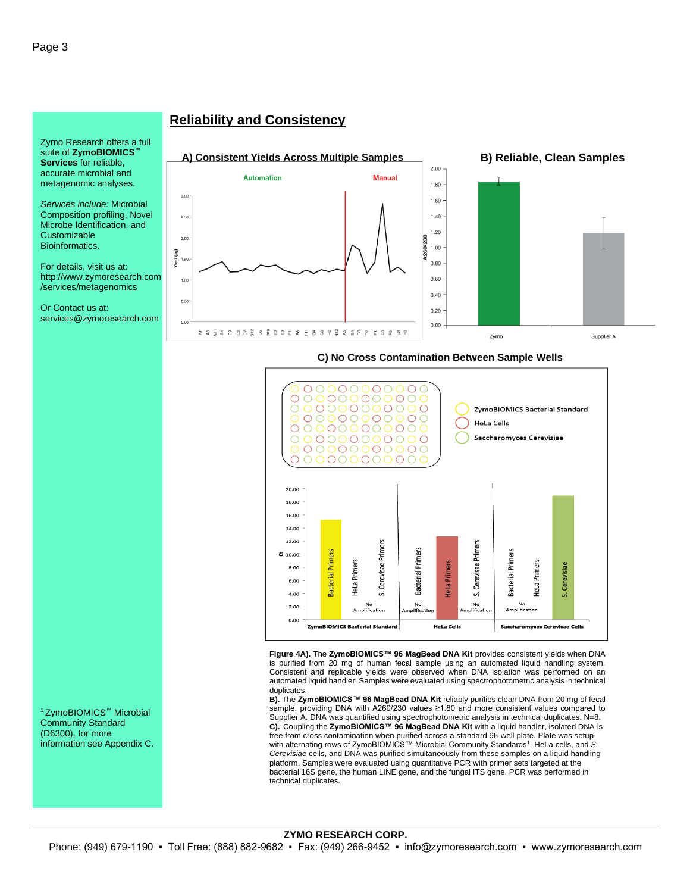Zymo Research offers a full suite of **ZymoBIOMICS™ Services** for reliable, accurate microbial and metagenomic analyses.

*Services include:* Microbial Composition profiling, Novel Microbe Identification, and **Customizable** Bioinformatics.

For details, visit us at: http://www.zymoresearch.com /services/metagenomics

Or Contact us at: services@zymoresearch.com

#### **Reliability and Consistency**





#### 000000  $\circ$ 0000000000<br>000000000  $\bigcirc$  $\bigcirc$  $\circ$ ZymoBIOMICS Bacterial Standard 0000000000 **HeLa Cells**  $\bigcirc$  $\bigcirc$ 0000000000 0000000000<br>0000000000  $\bigcirc$ Saccharomyces Cerevisiae  $\overline{O}$ 00000000000 20.00 18.00 16.00 14.00 12.00 Cerevisae Primers Cerevisae Primers **Bacterial Primers** Bacterial Primers **Bacterial Primers**  $510.00$ HeLa Primers HeLa Primers **HeLa Primers** S. Cerevisiae 8.00 6.00 4.00 vi ر. No<br>Implificat No<br>plifica No<br>Amplification  $2.00$ Amplificati  $0.00$ ZymoBIOMICS Bacterial Standard **HeLa Cells** Saccharomyces Cerevisae Cells

**C) No Cross Contamination Between Sample Wells**

**Figure 4A).** The **ZymoBIOMICS™ 96 MagBead DNA Kit** provides consistent yields when DNA is purified from 20 mg of human fecal sample using an automated liquid handling system. Consistent and replicable yields were observed when DNA isolation was performed on an automated liquid handler. Samples were evaluated using spectrophotometric analysis in technical duplicates.

**B).** The **ZymoBIOMICS™ 96 MagBead DNA Kit** reliably purifies clean DNA from 20 mg of fecal sample, providing DNA with A260/230 values ≥1.80 and more consistent values compared to Supplier A. DNA was quantified using spectrophotometric analysis in technical duplicates. N=8. C). Coupling the ZymoBIOMICS™ 96 MagBead DNA Kit with a liquid handler, isolated DNA is free from cross contamination when purified across a standard 96-well plate. Plate was setup with alternating rows of ZymoBIOMICS™ Microbial Community Standards<sup>1</sup>, HeLa cells, and *S. Cerevisiae* cells, and DNA was purified simultaneously from these samples on a liquid handling platform. Samples were evaluated using quantitative PCR with primer sets targeted at the bacterial 16S gene, the human LINE gene, and the fungal ITS gene. PCR was performed in technical duplicates.

<sup>1</sup>ZymoBIOMICS™ Microbial Community Standard (D6300), for more information see Appendix C.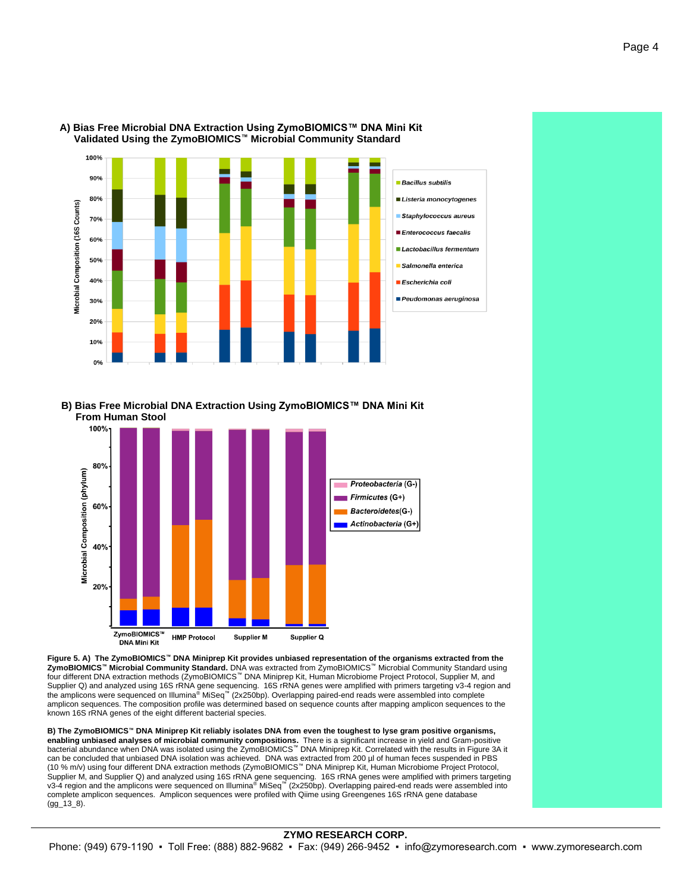



**A) Bias Free Microbial DNA Extraction Using ZymoBIOMICS™ DNA Mini Kit Validated Using the ZymoBIOMICS™ Microbial Community Standard**

**B) Bias Free Microbial DNA Extraction Using ZymoBIOMICS™ DNA Mini Kit From Human Stool**



**Figure 5. A) The ZymoBIOMICS™ DNA Miniprep Kit provides unbiased representation of the organisms extracted from the ZymoBIOMICS™ Microbial Community Standard.** DNA was extracted from ZymoBIOMICS™ Microbial Community Standard using four different DNA extraction methods (ZymoBIOMICS™ DNA Miniprep Kit, Human Microbiome Project Protocol, Supplier M, and Supplier Q) and analyzed using 16S rRNA gene sequencing. 16S rRNA genes were amplified with primers targeting v3-4 region and<br>the amplicons were sequenced on Illumina®MiSeq™ (2x250bp). Overlapping paired-end reads were ass amplicon sequences. The composition profile was determined based on sequence counts after mapping amplicon sequences to the known 16S rRNA genes of the eight different bacterial species.

**B) The ZymoBIOMICS™ DNA Miniprep Kit reliably isolates DNA from even the toughest to lyse gram positive organisms, enabling unbiased analyses of microbial community compositions.** There is a significant increase in yield and Gram-positive<br>bacterial abundance when DNA was isolated using the ZymoBIOMICS™ DNA Miniprep Kit. Correlated w can be concluded that unbiased DNA isolation was achieved. DNA was extracted from 200 µl of human feces suspended in PBS (10 % m/v) using four different DNA extraction methods (ZymoBIOMICS™ DNA Miniprep Kit, Human Microbiome Project Protocol, Supplier M, and Supplier Q) and analyzed using 16S rRNA gene sequencing. 16S rRNA genes were amplified with primers targeting<br>∨3-4 region and the amplicons were sequenced on Illumina® MiSeq™ (2x250bp). Overlapping paired complete amplicon sequences. Amplicon sequences were profiled with Qiime using Greengenes 16S rRNA gene database  $(gq_113_8)$ .

#### **ZYMO RESEARCH CORP.** Phone: (949) 679-1190 ▪ Toll Free: (888) 882-9682 ▪ Fax: (949) 266-9452 ▪ info@zymoresearch.com ▪ www.zymoresearch.com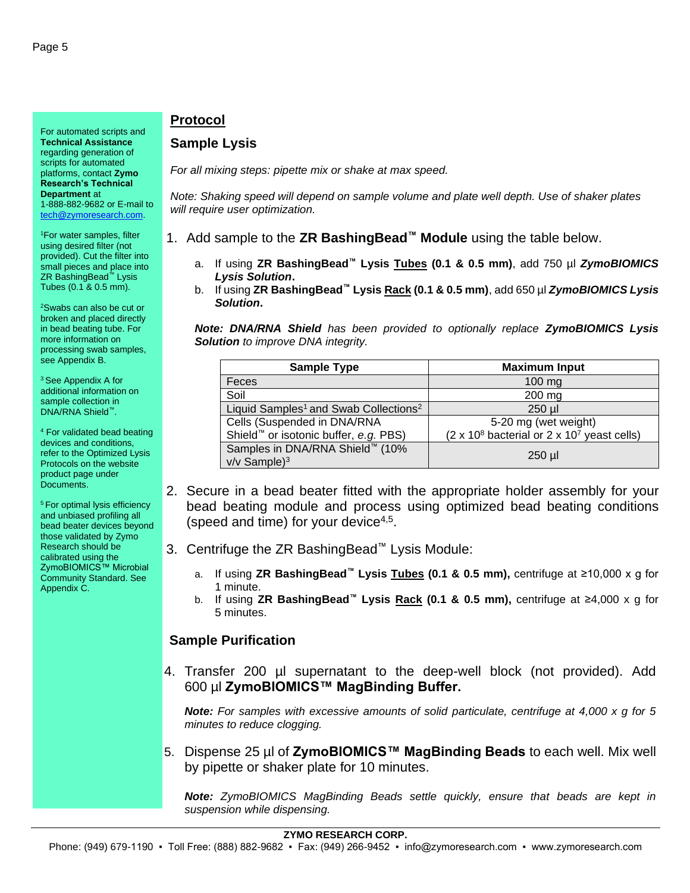For automated scripts and **Technical Assistance** regarding generation of scripts for automated platforms, contact **Zymo Research's Technical Department** at 1-888-882-9682 or E-mail to [tech@zymoresearch.com.](mailto:tech@zymoresearch.com)

<sup>1</sup>For water samples, filter using desired filter (not provided). Cut the filter into small pieces and place into ZR BashingBead™ Lysis Tubes (0.1 & 0.5 mm).

<sup>2</sup>Swabs can also be cut or broken and placed directly in bead beating tube. For more information on processing swab samples, see Appendix B.

<sup>3</sup> See Appendix A for additional information on sample collection in DNA/RNA Shield™.

<sup>4</sup> For validated bead beating devices and conditions, refer to the Optimized Lysis Protocols on the website product page under Documents.

<sup>5</sup> For optimal lysis efficiency and unbiased profiling all bead beater devices beyond those validated by Zymo Research should be calibrated using the ZymoBIOMICS™ Microbial Community Standard. See Appendix C.

#### **Protocol**

#### **Sample Lysis**

*For all mixing steps: pipette mix or shake at max speed.*

*Note: Shaking speed will depend on sample volume and plate well depth. Use of shaker plates will require user optimization.* 

1. Add sample to the **ZR BashingBead™ Module** using the table below.

- a. If using **ZR BashingBead™ Lysis Tubes (0.1 & 0.5 mm)**, add 750 µl *ZymoBIOMICS Lysis Solution***.**
- b. If using **ZR BashingBead™ Lysis Rack (0.1 & 0.5 mm)**, add 650 µl *ZymoBIOMICS Lysis Solution***.**

*Note: DNA/RNA Shield has been provided to optionally replace ZymoBIOMICS Lysis Solution to improve DNA integrity.*

| <b>Sample Type</b>                                               | <b>Maximum Input</b>                                               |
|------------------------------------------------------------------|--------------------------------------------------------------------|
| Feces                                                            | $100 \text{ mg}$                                                   |
| Soil                                                             | 200 mg                                                             |
| Liquid Samples <sup>1</sup> and Swab Collections <sup>2</sup>    | $250$ µl                                                           |
| Cells (Suspended in DNA/RNA                                      | 5-20 mg (wet weight)                                               |
| Shield <sup>™</sup> or isotonic buffer, e.g. PBS)                | (2 x 10 <sup>8</sup> bacterial or 2 x 10 <sup>7</sup> yeast cells) |
| Samples in DNA/RNA Shield <sup>™</sup> (10%<br>$v/v$ Sample) $3$ | $250$ µl                                                           |

- 2. Secure in a bead beater fitted with the appropriate holder assembly for your bead beating module and process using optimized bead beating conditions (speed and time) for your device $4,5$ .
- 3. Centrifuge the ZR BashingBead™ Lysis Module:
	- a. If using **ZR BashingBead™ Lysis Tubes (0.1 & 0.5 mm),** centrifuge at ≥10,000 x g for 1 minute.
	- b. If using **ZR BashingBead™ Lysis Rack (0.1 & 0.5 mm),** centrifuge at ≥4,000 x g for 5 minutes.

#### **Sample Purification**

4. Transfer 200 µl supernatant to the deep-well block (not provided). Add 600 µl **ZymoBIOMICS™ MagBinding Buffer.**

*Note: For samples with excessive amounts of solid particulate, centrifuge at 4,000 x g for 5 minutes to reduce clogging.*

5. Dispense 25 µl of **ZymoBIOMICS™ MagBinding Beads** to each well. Mix well by pipette or shaker plate for 10 minutes.

*Note: ZymoBIOMICS MagBinding Beads settle quickly, ensure that beads are kept in suspension while dispensing.*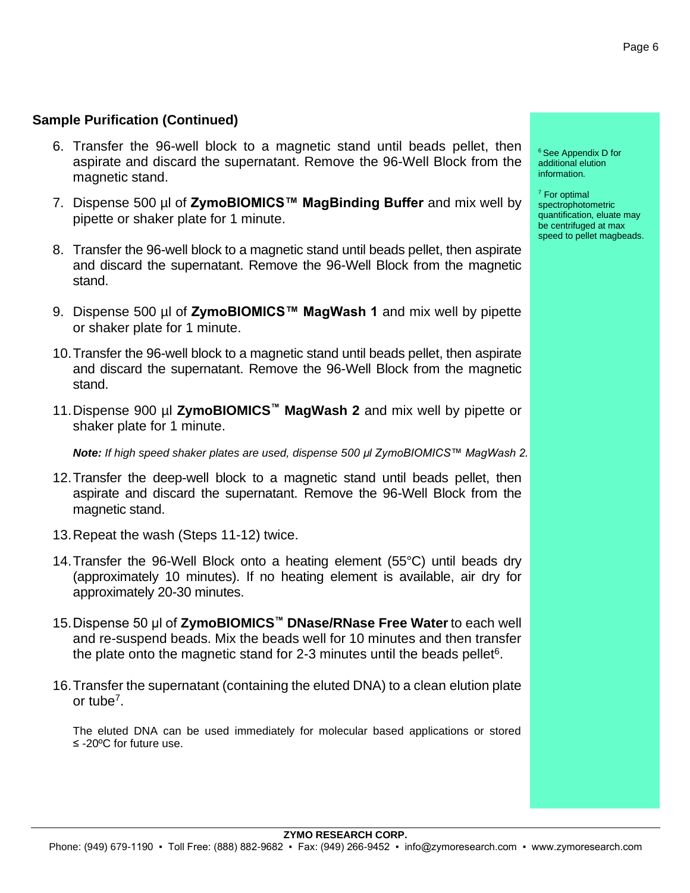#### **Sample Purification (Continued)**

- 6. Transfer the 96-well block to a magnetic stand until beads pellet, then aspirate and discard the supernatant. Remove the 96-Well Block from the magnetic stand.
- 7. Dispense 500 µl of **ZymoBIOMICS™ MagBinding Buffer** and mix well by pipette or shaker plate for 1 minute.
- 8. Transfer the 96-well block to a magnetic stand until beads pellet, then aspirate and discard the supernatant. Remove the 96-Well Block from the magnetic stand.
- 9. Dispense 500 µl of **ZymoBIOMICS™ MagWash 1** and mix well by pipette or shaker plate for 1 minute.
- 10.Transfer the 96-well block to a magnetic stand until beads pellet, then aspirate and discard the supernatant. Remove the 96-Well Block from the magnetic stand.
- 11.Dispense 900 µl **ZymoBIOMICS™ MagWash 2** and mix well by pipette or shaker plate for 1 minute.

*Note: If high speed shaker plates are used, dispense 500 µl ZymoBIOMICS™ MagWash 2.* 

- 12.Transfer the deep-well block to a magnetic stand until beads pellet, then aspirate and discard the supernatant. Remove the 96-Well Block from the magnetic stand.
- 13.Repeat the wash (Steps 11-12) twice.
- 14.Transfer the 96-Well Block onto a heating element (55°C) until beads dry (approximately 10 minutes). If no heating element is available, air dry for approximately 20-30 minutes.
- 15.Dispense 50 μl of **ZymoBIOMICS™ DNase/RNase Free Water**to each well and re-suspend beads. Mix the beads well for 10 minutes and then transfer the plate onto the magnetic stand for 2-3 minutes until the beads pellet $6$ .
- 16.Transfer the supernatant (containing the eluted DNA) to a clean elution plate or tube<sup>7</sup>.

The eluted DNA can be used immediately for molecular based applications or stored ≤ -20ºC for future use.

<sup>6</sup> See Appendix D for additional elution information.

<sup>7</sup> For optimal spectrophotometric quantification, eluate may be centrifuged at max speed to pellet magbeads.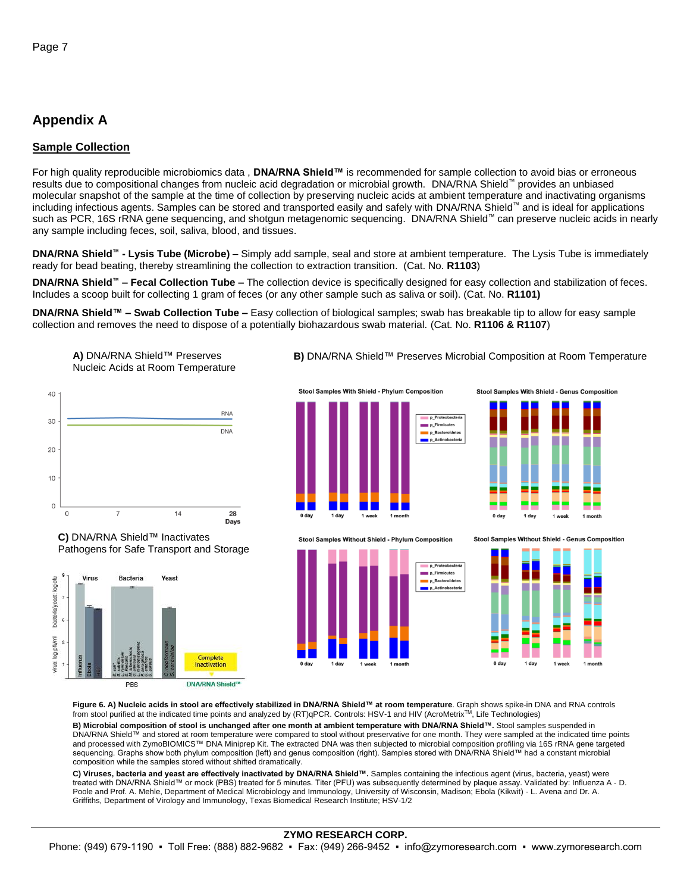#### **Appendix A**

#### **Sample Collection**

For high quality reproducible microbiomics data , **DNA/RNA Shield™** is recommended for sample collection to avoid bias or erroneous results due to compositional changes from nucleic acid degradation or microbial growth. DNA/RNA Shield™ provides an unbiased molecular snapshot of the sample at the time of collection by preserving nucleic acids at ambient temperature and inactivating organisms including infectious agents. Samples can be stored and transported easily and safely with DNA/RNA Shield™ and is ideal for applications such as PCR, 16S rRNA gene sequencing, and shotgun metagenomic sequencing. DNA/RNA Shield™ can preserve nucleic acids in nearly any sample including feces, soil, saliva, blood, and tissues.

**DNA/RNA Shield™ - Lysis Tube (Microbe)** – Simply add sample, seal and store at ambient temperature. The Lysis Tube is immediately ready for bead beating, thereby streamlining the collection to extraction transition. (Cat. No. **R1103**)

**DNA/RNA Shield™ – Fecal Collection Tube –** The collection device is specifically designed for easy collection and stabilization of feces. Includes a scoop built for collecting 1 gram of feces (or any other sample such as saliva or soil). (Cat. No. **R1101)**

**DNA/RNA Shield™ – Swab Collection Tube –** Easy collection of biological samples; swab has breakable tip to allow for easy sample collection and removes the need to dispose of a potentially biohazardous swab material. (Cat. No. **R1106 & R1107**)



**A)** DNA/RNA Shield™ Preserves



**C)** DNA/RNA Shield™ Inactivates Pathogens for Safe Transport and Storage



**B)** DNA/RNA Shield™ Preserves Microbial Composition at Room Temperature



Stool Samples Without Shield - Phylum Composition





Stool Samples Without Shield - Genus Composition



Figure 6. A) Nucleic acids in stool are effectively stabilized in DNA/RNA Shield™ at room temperature. Graph shows spike-in DNA and RNA controls<br>from stool purified at the indicated time points and analyzed by (RT)qPCR. C

**B) Microbial composition of stool is unchanged after one month at ambient temperature with DNA/RNA Shield™.** Stool samples suspended in DNA/RNA Shield™ and stored at room temperature were compared to stool without preservative for one month. They were sampled at the indicated time points and processed with ZymoBIOMICS™ DNA Miniprep Kit. The extracted DNA was then subjected to microbial composition profiling via 16S rRNA gene targeted sequencing. Graphs show both phylum composition (left) and genus composition (right). Samples stored with DNA/RNA Shield™ had a constant microbial composition while the samples stored without shifted dramatically.

**C) Viruses, bacteria and yeast are effectively inactivated by DNA/RNA Shield™.** Samples containing the infectious agent (virus, bacteria, yeast) were treated with DNA/RNA Shield™ or mock (PBS) treated for 5 minutes. Titer (PFU) was subsequently determined by plaque assay. Validated by: Influenza A - D. Poole and Prof. A. Mehle, Department of Medical Microbiology and Immunology, University of Wisconsin, Madison; Ebola (Kikwit) - L. Avena and Dr. A. Griffiths, Department of Virology and Immunology, Texas Biomedical Research Institute; HSV-1/2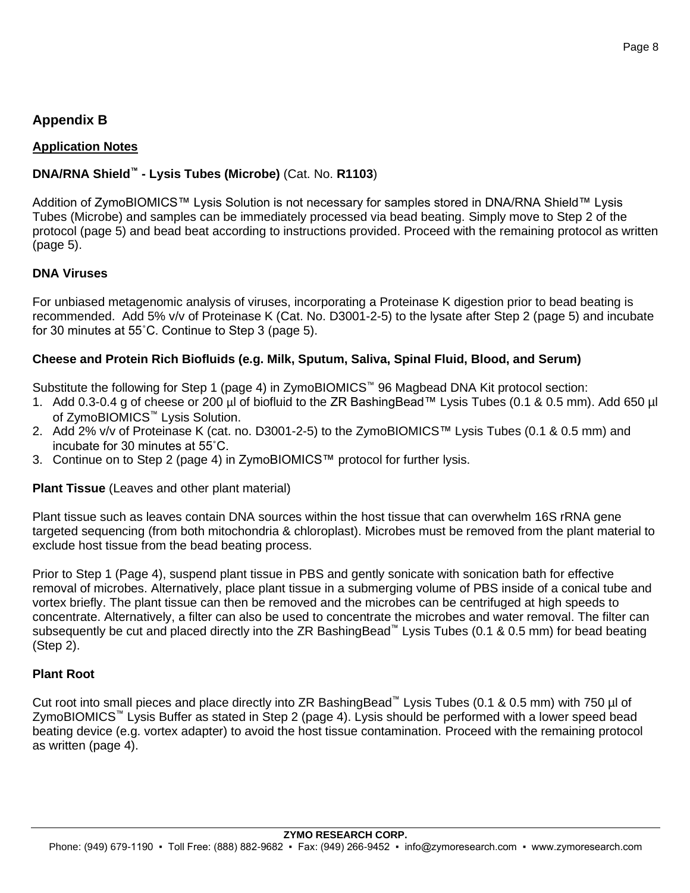#### **Appendix B**

#### **Application Notes**

#### **DNA/RNA Shield™ - Lysis Tubes (Microbe)** (Cat. No. **R1103**)

Addition of ZymoBIOMICS™ Lysis Solution is not necessary for samples stored in DNA/RNA Shield™ Lysis Tubes (Microbe) and samples can be immediately processed via bead beating. Simply move to Step 2 of the protocol (page 5) and bead beat according to instructions provided. Proceed with the remaining protocol as written (page 5).

#### **DNA Viruses**

For unbiased metagenomic analysis of viruses, incorporating a Proteinase K digestion prior to bead beating is recommended. Add 5% v/v of Proteinase K (Cat. No. D3001-2-5) to the lysate after Step 2 (page 5) and incubate for 30 minutes at 55˚C. Continue to Step 3 (page 5).

#### **Cheese and Protein Rich Biofluids (e.g. Milk, Sputum, Saliva, Spinal Fluid, Blood, and Serum)**

Substitute the following for Step 1 (page 4) in ZymoBIOMICS™ 96 Magbead DNA Kit protocol section:

- 1. Add 0.3-0.4 g of cheese or 200 µl of biofluid to the ZR BashingBead™ Lysis Tubes (0.1 & 0.5 mm). Add 650 µl of ZymoBIOMICS™ Lysis Solution.
- 2. Add 2% v/v of Proteinase K (cat. no. D3001-2-5) to the ZymoBIOMICS™ Lysis Tubes (0.1 & 0.5 mm) and incubate for 30 minutes at 55˚C.
- 3. Continue on to Step 2 (page 4) in ZymoBIOMICS™ protocol for further lysis.

#### **Plant Tissue** (Leaves and other plant material)

Plant tissue such as leaves contain DNA sources within the host tissue that can overwhelm 16S rRNA gene targeted sequencing (from both mitochondria & chloroplast). Microbes must be removed from the plant material to exclude host tissue from the bead beating process.

Prior to Step 1 (Page 4), suspend plant tissue in PBS and gently sonicate with sonication bath for effective removal of microbes. Alternatively, place plant tissue in a submerging volume of PBS inside of a conical tube and vortex briefly. The plant tissue can then be removed and the microbes can be centrifuged at high speeds to concentrate. Alternatively, a filter can also be used to concentrate the microbes and water removal. The filter can subsequently be cut and placed directly into the ZR BashingBead™ Lysis Tubes (0.1 & 0.5 mm) for bead beating (Step 2).

#### **Plant Root**

Cut root into small pieces and place directly into ZR BashingBead™ Lysis Tubes (0.1 & 0.5 mm) with 750 µl of ZymoBIOMICS™ Lysis Buffer as stated in Step 2 (page 4). Lysis should be performed with a lower speed bead beating device (e.g. vortex adapter) to avoid the host tissue contamination. Proceed with the remaining protocol as written (page 4).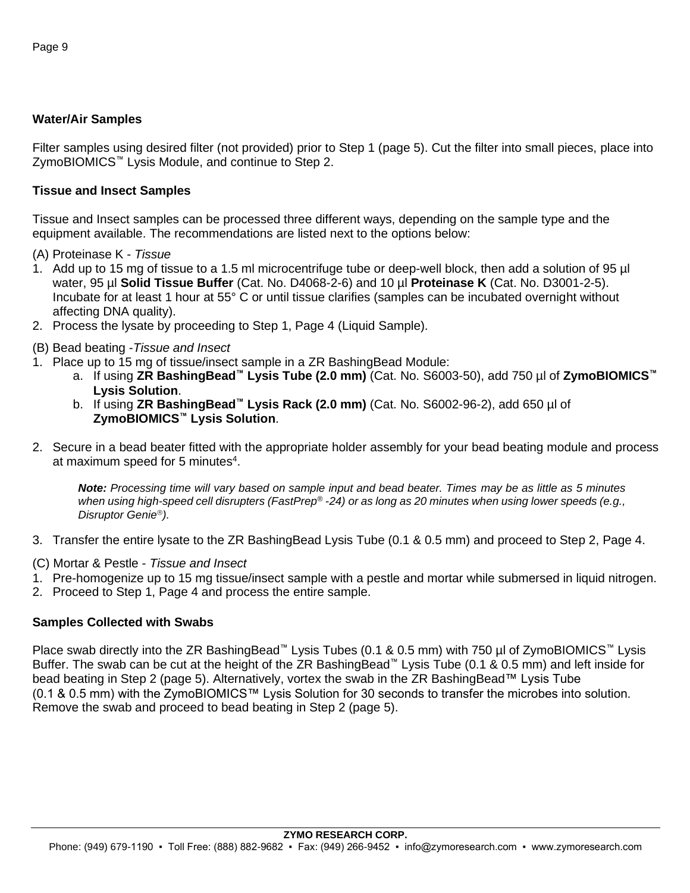#### **Water/Air Samples**

Filter samples using desired filter (not provided) prior to Step 1 (page 5). Cut the filter into small pieces, place into ZymoBIOMICS™ Lysis Module, and continue to Step 2.

#### **Tissue and Insect Samples**

Tissue and Insect samples can be processed three different ways, depending on the sample type and the equipment available. The recommendations are listed next to the options below:

- (A) Proteinase K *Tissue*
- 1. Add up to 15 mg of tissue to a 1.5 ml microcentrifuge tube or deep-well block, then add a solution of 95 µl water, 95 µl **Solid Tissue Buffer** (Cat. No. D4068-2-6) and 10 µl **Proteinase K** (Cat. No. D3001-2-5). Incubate for at least 1 hour at 55° C or until tissue clarifies (samples can be incubated overnight without affecting DNA quality).
- 2. Process the lysate by proceeding to Step 1, Page 4 (Liquid Sample).
- (B) Bead beating -*Tissue and Insect*
- 1. Place up to 15 mg of tissue/insect sample in a ZR BashingBead Module:
	- a. If using **ZR BashingBead™ Lysis Tube (2.0 mm)** (Cat. No. S6003-50), add 750 µl of **ZymoBIOMICS™ Lysis Solution**.
	- b. If using **ZR BashingBead™ Lysis Rack (2.0 mm)** (Cat. No. S6002-96-2), add 650 µl of **ZymoBIOMICS™ Lysis Solution**.
- 2. Secure in a bead beater fitted with the appropriate holder assembly for your bead beating module and process at maximum speed for 5 minutes<sup>4</sup>.

*Note: Processing time will vary based on sample input and bead beater. Times may be as little as 5 minutes when using high-speed cell disrupters (FastPrep® -24) or as long as 20 minutes when using lower speeds (e.g., Disruptor Genie).* 

- 3. Transfer the entire lysate to the ZR BashingBead Lysis Tube (0.1 & 0.5 mm) and proceed to Step 2, Page 4.
- (C) Mortar & Pestle *Tissue and Insect*
- 1. Pre-homogenize up to 15 mg tissue/insect sample with a pestle and mortar while submersed in liquid nitrogen.
- 2. Proceed to Step 1, Page 4 and process the entire sample.

#### **Samples Collected with Swabs**

Place swab directly into the ZR BashingBead™ Lysis Tubes (0.1 & 0.5 mm) with 750 µl of ZymoBIOMICS™ Lysis Buffer. The swab can be cut at the height of the ZR BashingBead™ Lysis Tube (0.1 & 0.5 mm) and left inside for bead beating in Step 2 (page 5). Alternatively, vortex the swab in the ZR BashingBead™ Lysis Tube (0.1 & 0.5 mm) with the ZymoBIOMICS™ Lysis Solution for 30 seconds to transfer the microbes into solution. Remove the swab and proceed to bead beating in Step 2 (page 5).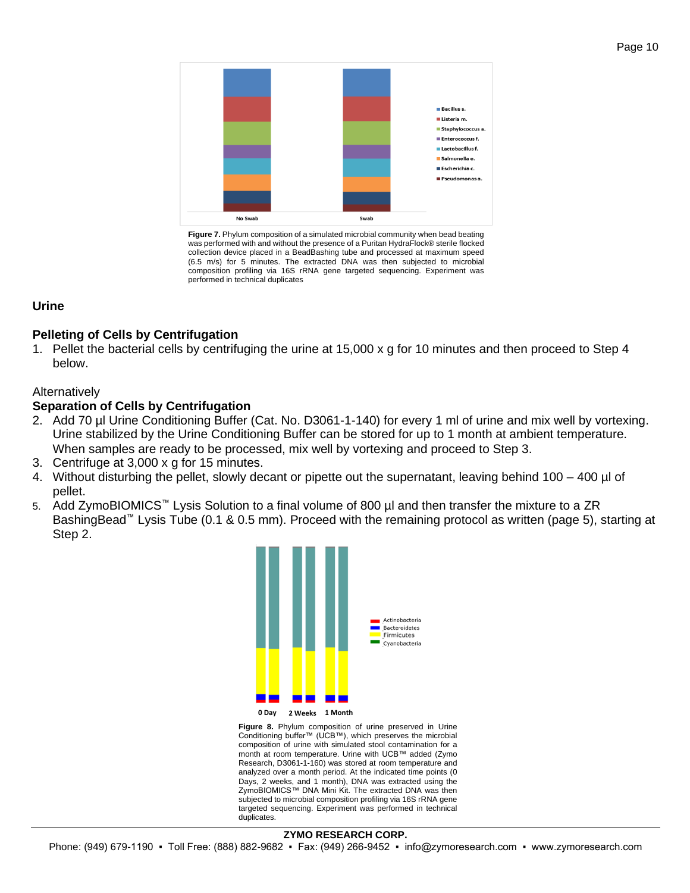

**Figure 7.** Phylum composition of a simulated microbial community when bead beating was performed with and without the presence of a Puritan HydraFlock® sterile flocked collection device placed in a BeadBashing tube and processed at maximum speed (6.5 m/s) for 5 minutes. The extracted DNA was then subjected to microbial composition profiling via 16S rRNA gene targeted sequencing. Experiment was performed in technical duplicates

#### **Urine**

#### **Pelleting of Cells by Centrifugation**

1. Pellet the bacterial cells by centrifuging the urine at 15,000 x g for 10 minutes and then proceed to Step 4 below.

#### Alternatively

#### **Separation of Cells by Centrifugation**

- 2. Add 70 µl Urine Conditioning Buffer (Cat. No. D3061-1-140) for every 1 ml of urine and mix well by vortexing. Urine stabilized by the Urine Conditioning Buffer can be stored for up to 1 month at ambient temperature. When samples are ready to be processed, mix well by vortexing and proceed to Step 3.
- 3. Centrifuge at 3,000 x g for 15 minutes.
- 4. Without disturbing the pellet, slowly decant or pipette out the supernatant, leaving behind 100 400 µl of pellet.
- 5. Add ZymoBIOMICS™ Lysis Solution to a final volume of 800 µl and then transfer the mixture to a ZR BashingBead™ Lysis Tube (0.1 & 0.5 mm). Proceed with the remaining protocol as written (page 5), starting at Step 2.



**Figure 8.** Phylum composition of urine preserved in Urine Conditioning buffer™ (UCB™), which preserves the microbial composition of urine with simulated stool contamination for a month at room temperature. Urine with UCB™ added (Zymo Research, D3061-1-160) was stored at room temperature and analyzed over a month period. At the indicated time points (0 Days, 2 weeks, and 1 month), DNA was extracted using the ZymoBIOMICS™ DNA Mini Kit. The extracted DNA was then subjected to microbial composition profiling via 16S rRNA gene targeted sequencing. Experiment was performed in technical duplicates.

#### **ZYMO RESEARCH CORP.**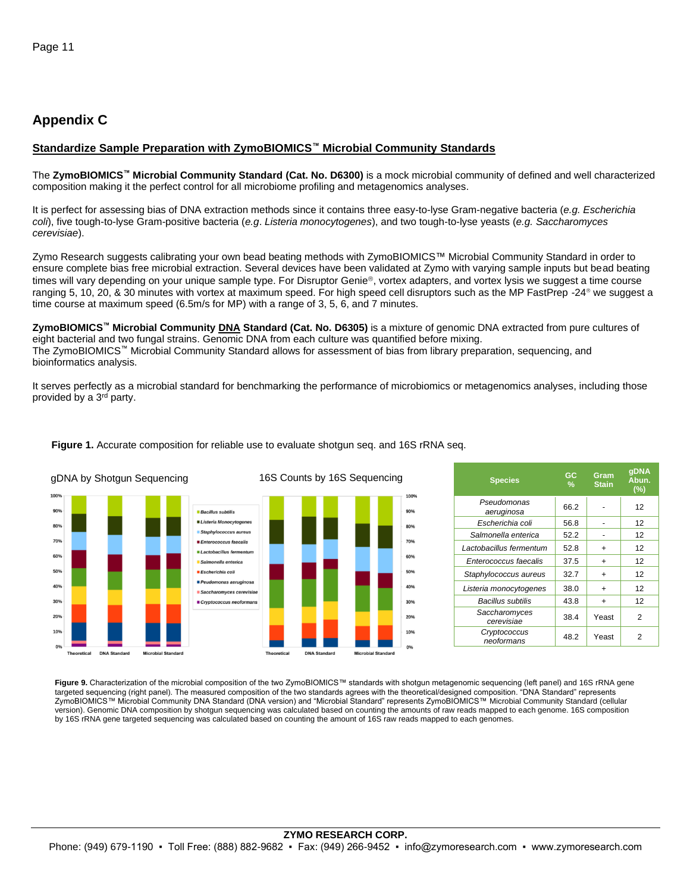#### **Appendix C**

#### **Standardize Sample Preparation with ZymoBIOMICS™ Microbial Community Standards**

The **ZymoBIOMICS™ Microbial Community Standard (Cat. No. D6300)** is a mock microbial community of defined and well characterized composition making it the perfect control for all microbiome profiling and metagenomics analyses.

It is perfect for assessing bias of DNA extraction methods since it contains three easy-to-lyse Gram-negative bacteria (*e.g. Escherichia coli*), five tough-to-lyse Gram-positive bacteria (*e.g*. *Listeria monocytogenes*), and two tough-to-lyse yeasts (*e.g. Saccharomyces cerevisiae*).

Zymo Research suggests calibrating your own bead beating methods with ZymoBIOMICS™ Microbial Community Standard in order to ensure complete bias free microbial extraction. Several devices have been validated at Zymo with varying sample inputs but bead beating times will vary depending on your unique sample type. For Disruptor Genie®, vortex adapters, and vortex lysis we suggest a time course ranging 5, 10, 20, & 30 minutes with vortex at maximum speed. For high speed cell disruptors such as the MP FastPrep -24<sup>®</sup> we suggest a time course at maximum speed (6.5m/s for MP) with a range of 3, 5, 6, and 7 minutes.

**ZymoBIOMICS™ Microbial Community DNA Standard (Cat. No. D6305)** is a mixture of genomic DNA extracted from pure cultures of eight bacterial and two fungal strains. Genomic DNA from each culture was quantified before mixing. The ZymoBIOMICS™ Microbial Community Standard allows for assessment of bias from library preparation, sequencing, and bioinformatics analysis.

It serves perfectly as a microbial standard for benchmarking the performance of microbiomics or metagenomics analyses, including those provided by a 3<sup>rd</sup> party.



#### **Figure 1.** Accurate composition for reliable use to evaluate shotgun seq. and 16S rRNA seq.

| <b>Species</b>              | GC<br>% | Gram<br><b>Stain</b> | qDNA<br>Abun.<br>(%) |
|-----------------------------|---------|----------------------|----------------------|
| Pseudomonas<br>aeruginosa   | 66.2    |                      | 12                   |
| Escherichia coli            | 56.8    |                      | 12                   |
| Salmonella enterica         | 52.2    |                      | 12                   |
| Lactobacillus fermentum     | 52.8    | $\ddot{}$            | 12                   |
| Enterococcus faecalis       | 37.5    | $\ddot{}$            | 12                   |
| Staphylococcus aureus       | 32.7    | $\ddot{}$            | 12                   |
| Listeria monocytogenes      | 38.0    | $\ddot{}$            | 12                   |
| Bacillus subtilis           | 43.8    | $\ddot{}$            | 12                   |
| Saccharomyces<br>cerevisiae | 38.4    | Yeast                | 2                    |
| Cryptococcus<br>neoformans  | 48.2    | Yeast                | 2                    |

**Figure 9.** Characterization of the microbial composition of the two ZymoBIOMICS™ standards with shotgun metagenomic sequencing (left panel) and 16S rRNA gene targeted sequencing (right panel). The measured composition of the two standards agrees with the theoretical/designed composition. "DNA Standard" represents ZymoBIOMICS™ Microbial Community DNA Standard (DNA version) and "Microbial Standard" represents ZymoBIOMICS™ Microbial Community Standard (cellular version). Genomic DNA composition by shotgun sequencing was calculated based on counting the amounts of raw reads mapped to each genome. 16S composition by 16S rRNA gene targeted sequencing was calculated based on counting the amount of 16S raw reads mapped to each genomes.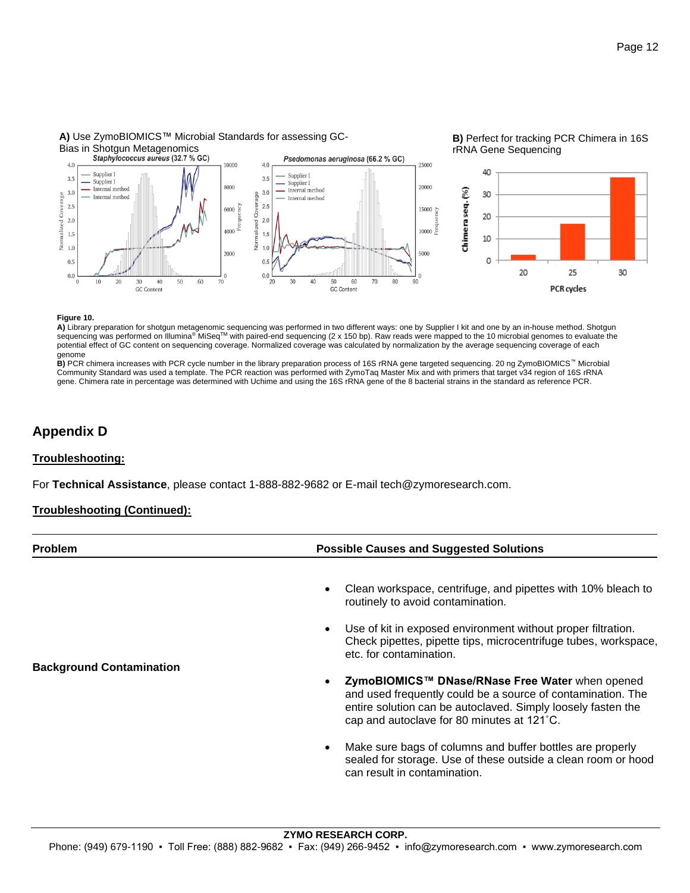

#### **A)** Use ZymoBIOMICS™ Microbial Standards for assessing GC-

#### **Figure 10.**

**A)** Library preparation for shotgun metagenomic sequencing was performed in two different ways: one by Supplier I kit and one by an in-house method. Shotgun sequencing was performed on Illumina® MiSeq™ with paired-end sequencing (2 x 150 bp). Raw reads were mapped to the 10 microbial genomes to evaluate the potential effect of GC content on sequencing coverage. Normalized coverage was calculated by normalization by the average sequencing coverage of each genome

**B)** PCR chimera increases with PCR cycle number in the library preparation process of 16S rRNA gene targeted sequencing. 20 ng ZymoBIOMICS™ Microbial Community Standard was used a template. The PCR reaction was performed with ZymoTaq Master Mix and with primers that target v34 region of 16S rRNA gene. Chimera rate in percentage was determined with Uchime and using the 16S rRNA gene of the 8 bacterial strains in the standard as reference PCR.

#### **Appendix D**

#### **Troubleshooting:**

For **Technical Assistance**, please contact 1-888-882-9682 or E-mail tech@zymoresearch.com.

#### **Troubleshooting (Continued):**

| <b>Problem</b>                  | <b>Possible Causes and Suggested Solutions</b>                                                                                                                                                                               |  |  |
|---------------------------------|------------------------------------------------------------------------------------------------------------------------------------------------------------------------------------------------------------------------------|--|--|
|                                 | Clean workspace, centrifuge, and pipettes with 10% bleach to<br>routinely to avoid contamination.                                                                                                                            |  |  |
|                                 | Use of kit in exposed environment without proper filtration.<br>Check pipettes, pipette tips, microcentrifuge tubes, workspace,<br>etc. for contamination.                                                                   |  |  |
| <b>Background Contamination</b> | ZymoBIOMICS™ DNase/RNase Free Water when opened<br>and used frequently could be a source of contamination. The<br>entire solution can be autoclaved. Simply loosely fasten the<br>cap and autoclave for 80 minutes at 121°C. |  |  |
|                                 | Make sure bags of columns and buffer bottles are properly<br>$\bullet$<br>sealed for storage. Use of these outside a clean room or hood<br>can result in contamination.                                                      |  |  |
|                                 |                                                                                                                                                                                                                              |  |  |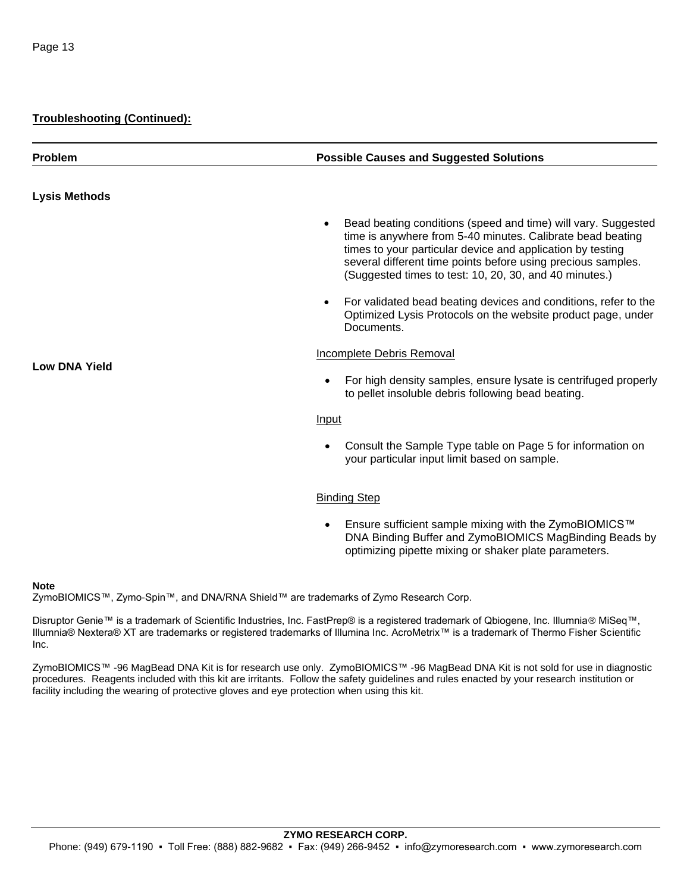#### **Troubleshooting (Continued):**

| <b>Problem</b>       | <b>Possible Causes and Suggested Solutions</b>                                                                                                                                                                                                                                                                      |
|----------------------|---------------------------------------------------------------------------------------------------------------------------------------------------------------------------------------------------------------------------------------------------------------------------------------------------------------------|
| <b>Lysis Methods</b> |                                                                                                                                                                                                                                                                                                                     |
|                      | Bead beating conditions (speed and time) will vary. Suggested<br>time is anywhere from 5-40 minutes. Calibrate bead beating<br>times to your particular device and application by testing<br>several different time points before using precious samples.<br>(Suggested times to test: 10, 20, 30, and 40 minutes.) |
| <b>Low DNA Yield</b> | For validated bead beating devices and conditions, refer to the<br>Optimized Lysis Protocols on the website product page, under<br>Documents.                                                                                                                                                                       |
|                      | <b>Incomplete Debris Removal</b>                                                                                                                                                                                                                                                                                    |
|                      | For high density samples, ensure lysate is centrifuged properly<br>to pellet insoluble debris following bead beating.                                                                                                                                                                                               |
|                      | Input                                                                                                                                                                                                                                                                                                               |
|                      | Consult the Sample Type table on Page 5 for information on<br>your particular input limit based on sample.                                                                                                                                                                                                          |
|                      | <b>Binding Step</b>                                                                                                                                                                                                                                                                                                 |

• Ensure sufficient sample mixing with the ZymoBIOMICS™ DNA Binding Buffer and ZymoBIOMICS MagBinding Beads by optimizing pipette mixing or shaker plate parameters.

#### **Note**

ZymoBIOMICS™, Zymo-Spin™, and DNA/RNA Shield™ are trademarks of Zymo Research Corp.

Disruptor Genie™ is a trademark of Scientific Industries, Inc. FastPrep® is a registered trademark of Qbiogene, Inc. Illumnia® MiSeq™, Illumnia® Nextera® XT are trademarks or registered trademarks of Illumina Inc. AcroMetrix™ is a trademark of Thermo Fisher Scientific Inc.

ZymoBIOMICS™ -96 MagBead DNA Kit is for research use only. ZymoBIOMICS™ -96 MagBead DNA Kit is not sold for use in diagnostic procedures. Reagents included with this kit are irritants. Follow the safety guidelines and rules enacted by your research institution or facility including the wearing of protective gloves and eye protection when using this kit.